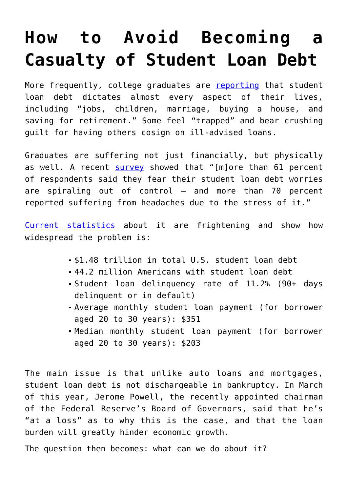## **[How to Avoid Becoming a](https://intellectualtakeout.org/2018/06/how-to-avoid-becoming-a-casualty-of-student-loan-debt/) [Casualty of Student Loan Debt](https://intellectualtakeout.org/2018/06/how-to-avoid-becoming-a-casualty-of-student-loan-debt/)**

More frequently, college graduates are [reporting](https://www.cheatsheet.com/money-career/student-loan-horror-stories-important-lessons-teach.html/?a=viewall) that student loan debt dictates almost every aspect of their lives, including "jobs, children, marriage, buying a house, and saving for retirement." Some feel "trapped" and bear crushing guilt for having others cosign on ill-advised loans.

Graduates are suffering not just financially, but physically as well. A recent [survey](https://studentloanhero.com/featured/psychological-effects-of-debt-survey-results/) showed that "[m]ore than 61 percent of respondents said they fear their student loan debt worries are spiraling out of control — and more than 70 percent reported suffering from headaches due to the stress of it."

[Current statistics](https://studentloanhero.com/student-loan-debt-statistics/) about it are frightening and show how widespread the problem is:

- \$1.48 trillion in total U.S. student loan debt
- 44.2 million Americans with student loan debt
- Student loan delinquency rate of 11.2% (90+ days delinquent or in default)
- Average monthly student loan payment (for borrower aged 20 to 30 years): \$351
- Median monthly student loan payment (for borrower aged 20 to 30 years): \$203

The main issue is that unlike auto loans and mortgages, student loan debt is not dischargeable in bankruptcy. In March of this year, Jerome Powell, the recently appointed chairman of the Federal Reserve's Board of Governors, said that he's "at a loss" as to why this is the case, and that the loan burden will greatly hinder economic growth.

The question then becomes: what can we do about it?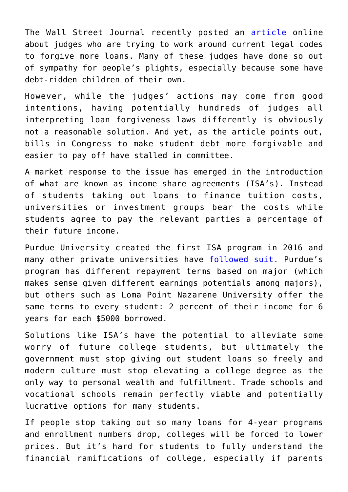The Wall Street Journal recently posted an [article](https://www.wsj.com/articles/judges-wouldnt-consider-forgiving-crippling-student-loans-until-now-1528974001?mod=hp_lead_pos7) online about judges who are trying to work around current legal codes to forgive more loans. Many of these judges have done so out of sympathy for people's plights, especially because some have debt-ridden children of their own.

However, while the judges' actions may come from good intentions, having potentially hundreds of judges all interpreting loan forgiveness laws differently is obviously not a reasonable solution. And yet, as the article points out, bills in Congress to make student debt more forgivable and easier to pay off have stalled in committee.

A market response to the issue has emerged in the introduction of what are known as income share agreements (ISA's). Instead of students taking out loans to finance tuition costs, universities or investment groups bear the costs while students agree to pay the relevant parties a percentage of their future income.

Purdue University created the first ISA program in 2016 and many other private universities have [followed suit](https://www.washingtonpost.com/local/education/a-new-way-emerges-to-cover-college-tuition-but-is-it-a-better-way/2017/12/31/6519d100-d9c9-11e7-b859-fb0995360725_story.html?utm_term=.f058ea0c677b). Purdue's program has different repayment terms based on major (which makes sense given different earnings potentials among majors), but others such as Loma Point Nazarene University offer the same terms to every student: 2 percent of their income for 6 years for each \$5000 borrowed.

Solutions like ISA's have the potential to alleviate some worry of future college students, but ultimately the government must stop giving out student loans so freely and modern culture must stop elevating a college degree as the only way to personal wealth and fulfillment. Trade schools and vocational schools remain perfectly viable and potentially lucrative options for many students.

If people stop taking out so many loans for 4-year programs and enrollment numbers drop, colleges will be forced to lower prices. But it's hard for students to fully understand the financial ramifications of college, especially if parents